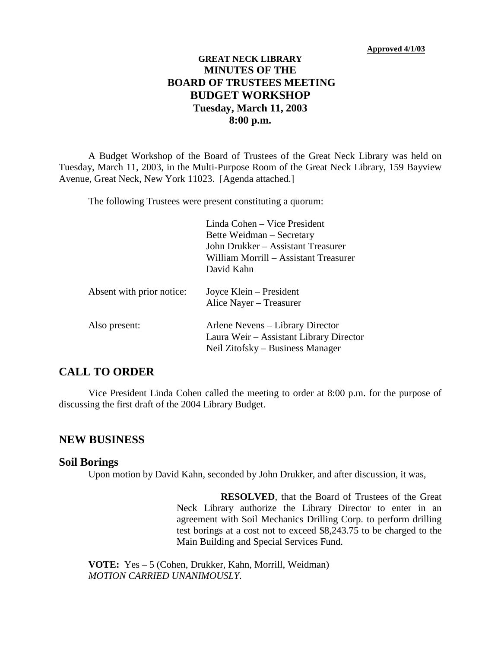## **GREAT NECK LIBRARY MINUTES OF THE BOARD OF TRUSTEES MEETING BUDGET WORKSHOP Tuesday, March 11, 2003 8:00 p.m.**

A Budget Workshop of the Board of Trustees of the Great Neck Library was held on Tuesday, March 11, 2003, in the Multi-Purpose Room of the Great Neck Library, 159 Bayview Avenue, Great Neck, New York 11023. [Agenda attached.]

The following Trustees were present constituting a quorum:

|                           | Linda Cohen – Vice President<br>Bette Weidman – Secretary<br>John Drukker – Assistant Treasurer<br>William Morrill – Assistant Treasurer<br>David Kahn |
|---------------------------|--------------------------------------------------------------------------------------------------------------------------------------------------------|
| Absent with prior notice: | Joyce Klein – President<br>Alice Nayer - Treasurer                                                                                                     |
| Also present:             | Arlene Nevens – Library Director<br>Laura Weir – Assistant Library Director<br>Neil Zitofsky – Business Manager                                        |

## **CALL TO ORDER**

Vice President Linda Cohen called the meeting to order at 8:00 p.m. for the purpose of discussing the first draft of the 2004 Library Budget.

### **NEW BUSINESS**

#### **Soil Borings**

Upon motion by David Kahn, seconded by John Drukker, and after discussion, it was,

**RESOLVED**, that the Board of Trustees of the Great Neck Library authorize the Library Director to enter in an agreement with Soil Mechanics Drilling Corp. to perform drilling test borings at a cost not to exceed \$8,243.75 to be charged to the Main Building and Special Services Fund.

**VOTE:** Yes – 5 (Cohen, Drukker, Kahn, Morrill, Weidman) *MOTION CARRIED UNANIMOUSLY.*